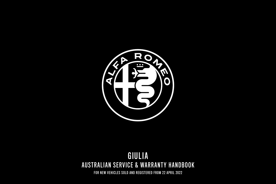

# AUSTRALIAN SERVICE & WARRANTY HANDBOOK GIULIA

FOR NEW VEHICLES SOLD AND REGISTERED FROM 22 APRIL 2022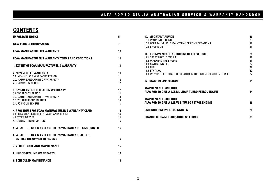### **CONTENTS**

| <b>IMPORTANT NOTICE</b>                                                                                                                                     | 5                          |
|-------------------------------------------------------------------------------------------------------------------------------------------------------------|----------------------------|
| <b>NEW VEHICLE INFORMATION</b>                                                                                                                              | 7                          |
| <b>FCAA MANUFACTURER'S WARRANTY</b>                                                                                                                         | 10                         |
| <b>FCAA MANUFACTURER'S WARRANTY TERMS AND CONDITIONS</b>                                                                                                    | 11                         |
| <b>1. EXTENT OF FCAA MANUFACTURER'S WARRANTY</b>                                                                                                            | 11                         |
| 2. NEW VEHICLE WARRANTY<br>2.1. NEW VEHICLE WARRANTY PERIOD<br>2.2. NATURE AND AMBIT OF WARRANTY<br>2.3. COMMERCIAL USE                                     | 11<br>11<br>12<br>12       |
| 3. 8-YEAR ANTI-PERFORATION WARRANTY<br>3.1. WARRANTY PERIOD<br>3.2. NATURE AND AMBIT OF WARRANTY<br>3.3. YOUR RESPONSIBILITIES<br>3.4. FOR YOUR BENEFIT     | 12<br>12<br>13<br>13<br>13 |
| <b>4. PROCEDURE FOR FCAA MANUFACTURER'S WARRANTY CLAIM</b><br>4.1 FCAA MANUFACTURER'S WARRANTY CLAIM<br><b>4.2 STEPS TO TAKE</b><br>4.3 CONTACT INFORMATION | 14<br>14<br>14<br>15       |
| 5. WHAT THE FCAA MANUFACTURER'S WARRANTY DOES NOT COVER                                                                                                     | 15                         |
| <b>6. WHAT THE FCAA MANUFACTURER'S WARRANTY SHALL NOT</b><br><b>FNTITLE THE OWNER TO RECEIVE</b>                                                            | 16                         |
| 7. VEHICLE CARE AND MAINTENANCE                                                                                                                             | 16                         |
| <b>8. USE OF GENUINE SPARE PARTS</b>                                                                                                                        | 16                         |
| <b>9. SCHEDULED MAINTENANCE</b>                                                                                                                             | 16                         |

| <b>10. IMPORTANT ADVICE</b>                                                        | 19 |
|------------------------------------------------------------------------------------|----|
| 10.1. WARNING LEGEND                                                               | 20 |
| 10.2. GENERAL VEHICLE MAINTENANCE CONSIDERATIONS                                   | 21 |
| 10.3 FNGINE OIL                                                                    | 21 |
|                                                                                    |    |
| 11. RECOMMENDATIONS FOR USE OF THE VEHICLE                                         | 21 |
| 11.1 STARTING THE ENGINE                                                           | 21 |
| 11.2 WARMING THE ENGINE                                                            | 21 |
| 11.3. SWITCHING OFF                                                                | 22 |
| 11.4 FUFL                                                                          | 22 |
| 11.5 FTHANOL                                                                       | 22 |
| 11.6. WHY USE PETRONAS LUBRICANTS IN THE ENGINE OF YOUR VEHICLE                    | 22 |
|                                                                                    |    |
| <b>12. ROADSIDE ASSISTANCE</b>                                                     | 23 |
|                                                                                    |    |
|                                                                                    |    |
| <b>MAINTENANCE SCHEDULE</b><br>ALFA ROMEO GIULIA 2.0L MULTIAIR TURBO PETROL ENGINE | 24 |
|                                                                                    |    |
| <b>MAINTENANCE SCHEDULE</b>                                                        |    |
|                                                                                    | 26 |
| ALFA ROMEO GIULIA 2.9L V6 BITURBO PETROL ENGINE                                    |    |
|                                                                                    |    |
| <b>SCHEDULED SERVICE LOG STAMPS</b>                                                | 29 |
| <b>CHANGE OF OWNERSHIP/ADDRESS FORMS</b>                                           | 33 |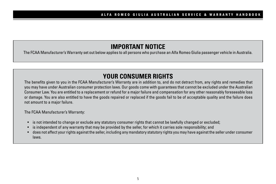## **IMPORTANT NOTICE**

The FCAA Manufacturer's Warranty set out below applies to all persons who purchase an Alfa Romeo Giulia passenger vehicle in Australia.

# **YOUR CONSUMER RIGHTS**

The benefits given to you in the FCAA Manufacturer's Warranty are in addition to, and do not detract from, any rights and remedies that you may have under Australian consumer protection laws. Our goods come with guarantees that cannot be excluded under the Australian Consumer Law. You are entitled to a replacement or refund for a major failure and compensation for any other reasonably foreseeable loss or damage. You are also entitled to have the goods repaired or replaced if the goods fail to be of acceptable quality and the failure does not amount to a major failure.

The FCAA Manufacturer's Warranty:

- is not intended to change or exclude any statutory consumer rights that cannot be lawfully changed or excluded;
- is independent of any warranty that may be provided by the seller, for which it carries sole responsibility; and
- does not affect your rights against the seller, including any mandatory statutory rights you may have against the seller under consumer laws.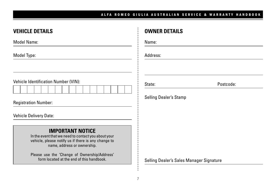Postcode:

| <b>VEHICLE DETAILS</b>                                                                                                                                               | <b>OWNER DETAILS</b>                     |
|----------------------------------------------------------------------------------------------------------------------------------------------------------------------|------------------------------------------|
| Model Name:                                                                                                                                                          | Name:                                    |
| Model Type:                                                                                                                                                          | Address:                                 |
| Vehicle Identification Number (VIN):                                                                                                                                 | Po<br>State:<br>Selling Dealer's Stamp   |
| <b>Registration Number:</b><br><b>Vehicle Delivery Date:</b>                                                                                                         |                                          |
| <b>IMPORTANT NOTICE</b><br>In the event that we need to contact you about your<br>vehicle, please notify us if there is any change to<br>name, address or ownership. |                                          |
| Please use the 'Change of Ownership/Address'<br>form located at the end of this handbook.                                                                            | Selling Dealer's Sales Manager Signature |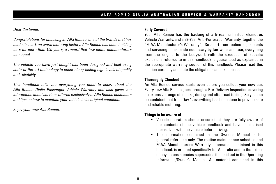#### *Dear Customer,*

*Congratulations for choosing an Alfa Romeo, one of the brands that has made its mark on world motoring history. Alfa Romeo has been building cars for more than 100 years, a record that few motor manufacturers can equal.*

*The vehicle you have just bought has been designed and built using state-of-the-art technology to ensure long-lasting high levels of quality and reliability.*

*This handbook tells you everything you need to know about the Alfa Romeo Giulia Passenger Vehicle Warranty and also gives you information about services offered exclusively to Alfa Romeo customers and tips on how to maintain your vehicle in its original condition.*

*Enjoy your new Alfa Romeo.*

#### **Fully Covered**

Your Alfa Romeo has the backing of a 5-Year, unlimited kilometres Vehicle Warranty, and an 8-Year Anti-Perforation Warranty (together the "FCAA Manufacturer's Warranty"). So apart from routine adjustments and servicing items made necessary by fair wear and tear, everything from the engine to the bodywork with the exception of specific exclusions referred to in this handbook is guaranteed as explained in the appropriate warranty section of this handbook. Please read this section carefully and note the obligations and exclusions.

#### **Thoroughly Checked**

An Alfa Romeo service starts even before you collect your new car. Every new Alfa Romeo goes through a Pre-Delivery Inspection covering an extensive range of checks, during and after road testing. So you can be confident that from Day 1, everything has been done to provide safe and reliable motoring.

#### **Things to be aware of**

- Vehicle operators should ensure that they are fully aware of the contents of the vehicle handbook and have familiarised themselves with the vehicle before driving.
- The information contained in the Owner's Manual is for general reference only. The routine maintenance schedule and FCAA Manufacturer's Warranty information contained in this handbook is created specifically for Australia and to the extent of any inconsistencies supersedes that laid out in the Operating Information/Owner's Manual. All material contained in this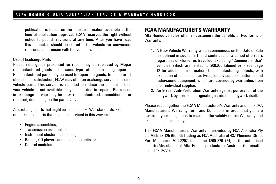publication is based on the latest information available at the time of publication approval. FCAA reserves the right without notice to publish revisions at any time. After you have read this manual, it should be stored in the vehicle for convenient reference and remain with the vehicle when sold.

#### **Use of Exchange Parts**

Please note goods presented for repair may be replaced by Mopar remanufactured goods of the same type rather than being repaired. Remanufactured parts may be used to repair the goods. In the interest of customer satisfaction, FCAA may offer an exchange service on some vehicle parts. This service is intended to reduce the amount of time your vehicle is not available for your use due to repairs. Parts used in exchange service may be new, remanufactured, reconditioned, or repaired, depending on the part involved.

All exchange parts that might be used meet FCAA's standards. Examples of the kinds of parts that might be serviced in this way are:

- Engine assemblies;
- Transmission assemblies;
- Instrument cluster assemblies:
- Radios, CD players and navigation units; or
- Control modules.

## **FCAA MANUFACTURER'S WARRANTY**

Alfa Romeo vehicles offer all customers the benefits of two forms of Warranty:

- 1. A New Vehicle Warranty which commences on the Date of Sale (as defined in section 2.1) and continues for a period of 5-Years regardless of kilometres travelled (excluding "Commercial Use" vehicles, which are limited to 200,000 kilometres - see page 12 for additional information) for manufacturing defects, with exception of items such as tyres, locally supplied batteries and radio/sound equipment, which are covered by warranties from their individual supplier.
- 2. An 8-Year Anti-Perforation Warranty against perforation of the bodywork by corrosion originating inside the bodywork itself.

Please read together the FCAA Manufacturer's Warranty and the FCAA Manufacturer's Warranty Term and Conditions in order that you are aware of your obligations to maintain the validity of this Warranty and exclusions to this policy.

This FCAA Manufacturer's Warranty is provided by FCA Australia Pty Ltd ABN 23 125 956 505 trading as FCA Australia of 437 Plummer Street Port Melbourne VIC 3207, telephone 1800 870 724, as the authorised importer/distributor of Alfa Romeo products in Australia (hereinafter called "FCAA").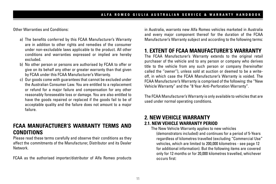Other Warranties and Conditions:

- a) The benefits conferred by this FCAA Manufacturer's Warranty are in addition to other rights and remedies of the consumer under non-excludable laws applicable to the product. All other conditions and warranties expressed or implied are hereby excluded.
- b) No other person or persons are authorised by FCAA to offer or give on its behalf any other or greater warranty than that given by FCAA under this FCAA Manufacturer's Warranty.
- c) Our goods come with guarantees that cannot be excluded under the Australian Consumer Law. You are entitled to a replacement or refund for a major failure and compensation for any other reasonably foreseeable loss or damage. You are also entitled to have the goods repaired or replaced if the goods fail to be of acceptable quality and the failure does not amount to a major failure.

## **FCAA MANUFACTURER'S WARRANTY TERMS AND CONDITIONS**

Please read these terms carefully and observe their conditions as they affect the commitments of the Manufacturer, Distributor and its Dealer Network.

FCAA as the authorised importer/distributor of Alfa Romeo products

in Australia, warrants new Alfa Romeo vehicles marketed in Australia and every major component thereof for the duration of the FCAA Manufacturer's Warranty subject and according to the following terms:

## **1. EXTENT OF FCAA MANUFACTURER'S WARRANTY**

The FCAA Manufacturer's Warranty extends to the original retail purchaser of the vehicle and to any person or company who derives title to the vehicle from any such person or company (hereinafter called the ''owner''), unless sold at auction or deemed to be a writeoff, in which case the FCAA Manufacturer's Warranty is voided. The FCAA Manufacturer's Warranty is comprised of the following: the "New Vehicle Warranty" and the "8 Year Anti-Perforation Warranty".

The FCAA Manufacturer's Warranty is only available to vehicles that are used under normal operating conditions.

### **2. NEW VEHICLE WARRANTY 2.1. NEW VEHICLE WARRANTY PERIOD**

The New Vehicle Warranty applies to new vehicles (demonstrators included) and continues for a period of 5-Years regardless of kilometres travelled (excluding "Commercial Use" vehicles, which are limited to 200,000 kilometres - see page 12 for additional information). But the following items are covered only for 12 months or for 20,000 kilometres travelled, whichever occurs first: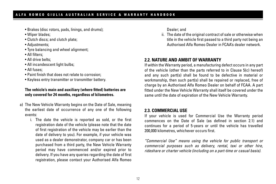- Brakes (disc rotors, pads, linings, and drums);
- Wiper blades;
- Clutch discs; and clutch plate;
- Adjustments;
- Tyre balancing and wheel alignment;
- All filters;
- All drive belts;
- All incandescent light bulbs:
- All fuses;
- Paint finish that does not relate to corrosion;
- Keyless entry transmitter or transmitter battery.

#### **The vehicle's main and auxiliary (where fitted) batteries are only covered for 24 months, regardless of kilometres.**

- a) The New Vehicle Warranty begins on the Date of Sale, meaning the earliest date of occurrence of any one of the following events:
	- i. The date the vehicle is reported as sold, or the first registration date of the vehicle (please note that the date of first registration of the vehicle may be earlier than the date of delivery to you). For example, if your vehicle was used as a dealer demonstrator, company car or has been purchased from a third party, the New Vehicle Warranty period may have commenced and/or expired prior to delivery. If you have any queries regarding the date of first registration, please contact your Authorised Alfa Romeo

Dealer; and

ii. The date of the original contract of sale or otherwise when title in the vehicle first passed to a third party not being an Authorised Alfa Romeo Dealer in FCAA's dealer network.

### **2.2. NATURE AND AMBIT OF WARRANTY**

If within the Warranty period, a manufacturing defect occurs in any part of the vehicle (other than the parts referred to in Clause 5(c) hereof) and any such part(s) shall be found to be defective in material or workmanship, then such part(s) shall be repaired or replaced, free of charge by an Authorised Alfa Romeo Dealer on behalf of FCAA. A part fitted under the New Vehicle Warranty shall itself be covered under the same until the date of expiration of the New Vehicle Warranty.

#### **2.3. COMMERCIAL USE**

If your vehicle is used for Commercial Use the Warranty period commences on the Date of Sale (as defined in section 2.1) and continues for a period of 5-years or until the vehicle has travelled 200,000 kilometres, whichever occurs first.

*"Commercial Use" means using the vehicle for public transport or commercial purposes such as delivery, rental, taxi or other hire, rideshare or charter vehicle (including on a part-time or casual basis).*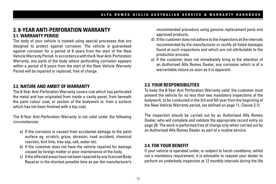### **3. 8-YEAR ANTI-PERFORATION WARRANTY 3.1. WARRANTY PERIOD**

The body of your vehicle is treated using special processes that are designed to protect against corrosion. The vehicle is guaranteed against corrosion for a period of 8 years from the start of the New Vehicle Warranty Period. In accordance with the 8-Year Anti-Perforation Warranty, any parts of the body where perforating corrosion appears within a period of 8 years from the start of the New Vehicle Warranty Period will be repaired or replaced, free of charge.

#### **3.2. NATURE AND AMBIT OF WARRANTY**

The 8-Year Anti-Perforation Warranty covers rust which has perforated the metal and has originated from inside a cavity panel, from beneath the paint colour coat, or section of the bodywork ie: from a surface which has not been finished with a top coat.

The 8-Year Anti-Perforation Warranty is not valid under the following circumstances:

- a) If the corrosion is caused from accidental damage to the paint surface eg. scratch, graze, abrasion, road accident, chemical reaction, bird lime, tree sap, salt, water etc.
- b) If the customer does not have the vehicle repaired for damage caused by foreign matter or poor maintenance of the body.
- c) If the affected areas have not been repaired by any licenced Body Repairer in the shortest possible time as per the manufacturer's

recommended procedure using genuine replacement parts and approved products.

- d) If the customer does not adhere to the inspections at the intervals recommended by the manufacturer or rectify all listed damages found at such inspections and which are not attributable to the production process.
- e) If the customer does not immediately bring to the attention of an Authorised Alfa Romeo Dealer, any corrosion which is of a warrantable nature as soon as it is apparent.

#### **3.3. YOUR RESPONSIBILITIES**

To keep the 8-Year Anti Perforation Warranty valid, the customer must present the vehicle for no less than two mandatory inspections of the bodywork, to be conducted in the 3rd and 5th year from the beginning of the New Vehicle Warranty period, (as defined on page 11, Clause 2.1).

The inspection should be carried out by an Authorised Alfa Romeo Dealer, who will complete and validate the appropriate record entry on page 28. The work is performed free of charge only when carried out by an Authorised Alfa Romeo Dealer as part of a routine service.

#### **3.4. FOR YOUR BENEFIT**

If your vehicle is operated under, or subject to harsh conditions, whilst not a mandatory requirement, it is advisable to request your dealer to perform an underbody inspection at 12 monthly intervals during the life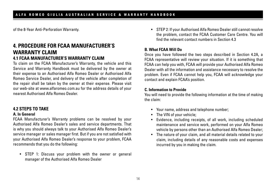of the 8-Year Anti-Perforation Warranty.

### **4. PROCEDURE FOR FCAA MANUFACTURER'S**  WARRANTY CLAIM **4.1 FCAA MANUFACTURER'S WARRANTY CLAIM**

To claim on the FCAA Manufacturer's Warranty, the vehicle and this Service and Warranty Handbook must be delivered by the owner at their expense to an Authorised Alfa Romeo Dealer or Authorised Alfa Romeo Service Dealer, and delivery of the vehicle after completion of the repair shall be taken by the owner at their expense. Please visit our web-site at www.alfaromeo.com.au for the address details of your nearest Authorised Alfa Romeo Dealer.

#### **4.2 STEPS TO TAKE**

#### **A. In General**

FCAA Manufacturer's Warranty problems can be resolved by your Authorised Alfa Romeo Dealer's sales and service departments. That is why you should always talk to your Authorised Alfa Romeo Dealer's service manager or sales manager first. But if you are not satisfied with your Authorised Alfa Romeo Dealer's response to your problem, FCAA recommends that you do the following:

• STEP 1: Discuss your problem with the owner or general manager of the Authorised Alfa Romeo Dealer

• STEP 2: If your Authorised Alfa Romeo Dealer still cannot resolve the problem, contact the FCAA Customer Care Centre. You will find the relevant contact numbers in Section 4.3

#### **B. What FCAA Will Do**

Once you have followed the two steps described in Section 4.2A, a FCAA representative will review your situation. If it is something that FCAA can help you with, FCAA will provide your Authorised Alfa Romeo Dealer with all the information and assistance necessary to resolve the problem. Even if FCAA cannot help you, FCAA will acknowledge your contact and explain FCAA's position.

#### **C. Information to Provide**

You will need to provide the following information at the time of making the claim:

- Your name, address and telephone number;
- The VIN of your vehicle;
- Evidence, including receipts, of all work, including scheduled maintenance and service work, performed on your Alfa Romeo vehicle by persons other than an Authorised Alfa Romeo Dealer;
- The nature of your claim, and all material details related to your claim, including details of any reasonable costs and expenses incurred by you in making the claim.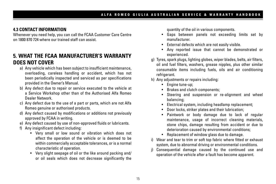### **4.3 CONTACT INFORMATION**

Whenever you need help, you can call the FCAA Customer Care Centre on 1800 870 724 where our trained staff can assist.

## **5. WHAT THE FCAA MANUFACTURER'S WARRANTY DOES NOT COVER**

- a) Any vehicle which has been subject to insufficient maintenance, overloading, careless handling or accident, which has not been periodically inspected and serviced as per specifications provided in the Owner's Manual.
- b) Any defect due to repair or service executed to the vehicle at a Service Workshop other than of the Authorised Alfa Romeo Dealer Network.
- c) Any defect due to the use of a part or parts, which are not Alfa Romeo genuine or authorised products.
- d) Any defect caused by modifications or additions not previously approved by FCAA in writing.
- e) Any defect caused by use of non-approved fluids or lubricants.
- f) Any insignificant defect including:
	- Very small or low sound or vibration which does not affect the operation of the vehicle or is deemed to be within commercially acceptable tolerances, or is a normal characteristic of operation.
	- Very slight seepage of oil or the like around packing and/ or oil seals which does not decrease significantly the

quantity of the oil in various components.

- Gaps between panels not exceeding limits set by manufacturer.
- External defects which are not easily visible.
- Any reported issue that cannot be demonstrated or experienced.
- g) Tyres, spark plugs, lighting globes, wiper blades, belts, air filters, oil and fuel filters, washers, grease nipples, plus other similar consumable items including fuels, oils and air conditioning refrigerant.
- h) Any adjustments or repairs including:
	- Engine tune-up;
	- Brakes and clutch components;
	- Steering and suspension or re-alignment and wheel balancing;
	- Electrical system, including headlamp replacement;
	- Door locks, striker plates and their lubrication;
	- Paintwork or body damage due to lack of regular maintenance, usage of incorrect cleaning materials, stone chips, damage resulting from accident or due to deterioration caused by environmental conditions;
	- Replacement of window glass due to damage.
- i) Wear and tear to trim or soft top fabric where fitted or exhaust system, due to abnormal driving or environmental conditions.
- j) Consequential damage caused by the continued use and operation of the vehicle after a fault has become apparent.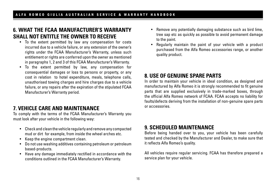## **6. WHAT THE FCAA MANUFACTURER'S WARRANTY SHALL NOT ENTITLE THE OWNER TO RECEIVE**

- To the extent permitted by law any compensation for costs incurred due to a vehicle failure, or any extension of the owner's rights under the FCAA Manufacturer's Warranty, unless such entitlement or rights are conferred upon the owner as mentioned in paragraphs 1, 2 and 3 of this FCAA Manufacturer's Warranty.
- To the extent permitted by law, any compensation for consequential damages or loss to persons or property, or any cost in relation to hotel expenditure, meals, telephone calls, unauthorised towing charges and hire charges due to a vehicle failure, or any repairs after the expiration of the stipulated FCAA Manufacturer's Warranty period.

## **7. VEHICLE CARE AND MAINTENANCE**

To comply with the terms of the FCAA Manufacturer's Warranty you must look after your vehicle in the following way:

- Check and clean the vehicle regularly and remove any compacted mud or dirt for example, from inside the wheel arches etc.
- Keep the engine compartment clean.
- Do not use washing additives containing petroleum or petroleum based-products.
- Have any damage immediately rectified in accordance with the conditions outlined in the FCAA Manufacturer's Warranty.
- Remove any potentially damaging substance such as bird lime, tree sap etc as quickly as possible to avoid permanent damage to the paint.
- Regularly maintain the paint of your vehicle with a product purchased from the Alfa Romeo accessories range, or another quality product.

## **8. USE OF GENUINE SPARE PARTS**

In order to maintain your vehicle in ideal condition, as designed and manufactured by Alfa Romeo it is strongly recommended to fit genuine parts that are supplied exclusively in trade-marked boxes, through the official Alfa Romeo network of FCAA. FCAA accepts no liability for faults/defects deriving from the installation of non-genuine spare parts or accessories.

## **9. SCHEDULED MAINTENANCE**

Before being handed over to you, your vehicle has been carefully tested and checked by the Manufacturer and Dealer, to make sure that it reflects Alfa Romeo's quality.

All vehicles require regular servicing. FCAA has therefore prepared a service plan for your vehicle.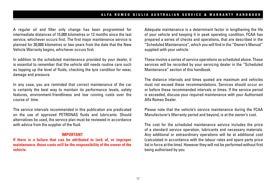A regular oil and filter only change has been programmed for intermediate distances of 15,000 kilometres or 12 months since the last service, whichever occurs first. The first major maintenance service is planned for 30,000 kilometres or two years from the date that the New Vehicle Warranty begins, whichever occurs first.

In addition to the scheduled maintenance provided by your dealer, it is essential to remember that the vehicle still needs routine care such as topping up the level of fluids, checking the tyre condition for wear, damage and pressure.

In any case, you are reminded that correct maintenance of the car is certainly the best way to maintain its performance levels, safety features, environment-friendliness and low running costs over the course of time.

The service intervals recommended in this publication are predicated on the use of approved PETRONAS fluids and lubricants. Should alternatives be used, the service plan must be reviewed in accordance with advice from the supplier of the fluid.

#### **IMPORTANT**

**If there is a failure that can be attributed to lack of, or improper maintenance, these costs will be the responsibility of the owner of the vehicle.**

Adequate maintenance is a determinant factor in lengthening the life of your vehicle and keeping it in peak operating condition. FCAA has prepared a series of checks and operations, that are described in the "Scheduled Maintenance'', which you will find in the "Owner's Manual'' supplied with your vehicle.

These involve a series of service operations as scheduled above. These services will be recorded by your servicing dealer in the "Scheduled Maintenance" section of this handbook.

The distance intervals and times quoted are maximum and vehicles must not exceed these recommendations. Services should occur on or before these recommended intervals or times. If the service period is exceeded, discuss your required maintenance with your Authorised Alfa Romeo Dealer.

Please note that the vehicle's service maintenance during the FCAA Manufacturer's Warranty period and beyond, is at the owner's cost.

The cost for the scheduled maintenance service includes the price of a standard service operation, lubricants and necessary materials. Any additional or extraordinary operations will be at additional cost (calculated in accordance with the labour rates and spare parts price list in force at the time). However they will not be performed without first being authorised by you.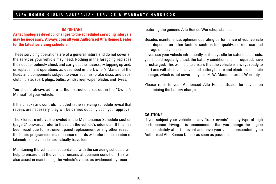#### **IMPORTANT**

**As technologies develop, changes to the scheduled servicing intervals may be necessary. Always consult your Authorised Alfa Romeo Dealer for the latest servicing schedule.**

These servicing operations are of a general nature and do not cover all the services your vehicle may need. Nothing in the foregoing replaces the need to routinely check and carry out the necessary topping up and/ or replacement operations as described in the Owner's Manual of the fluids and components subject to wear such as: brake discs and pads, clutch plate, spark plugs, bulbs, windscreen wiper blades and tyres.

You should always adhere to the instructions set out in the ''Owner's Manual'' of your vehicle.

If the checks and controls included in the servicing schedule reveal that repairs are necessary, they will be carried out only upon your approval.

The kilometre intervals provided in the Maintenance Schedule section (page 24 onwards) refer to those on the vehicle's odometer. If this has been reset due to instrument panel replacement or any other reason, the future programmed maintenance records will refer to the number of kilometres the vehicle has actually travelled.

Maintaining the vehicle in accordance with the servicing schedule will help to ensure that the vehicle remains at optimum condition. This will also assist in maintaining the vehicle's value, as evidenced by records featuring the genuine Alfa Romeo Workshop stamps.

Besides maintenance, optimum operating performance of your vehicle also depends on other factors, such as fuel quality, correct use and storage of the vehicle.

 If you use your vehicle infrequently or if it lays idle for extended periods, you should regularly check the battery condition and , if required, have it recharged. This will help to ensure that the vehicle is always ready to start and will also avoid advanced battery failure and electronic module damage, which is not covered by this FCAA Manufacturer's Warranty.

Please refer to your Authorised Alfa Romeo Dealer for advice on maintaining the battery charge.

#### **CAUTION!**

If you subject your vehicle to any 'track events' or any type of high performance driving, it is recommended that you change the engine oil immediately after the event and have your vehicle inspected by an Authorised Alfa Romeo Dealer as soon as possible.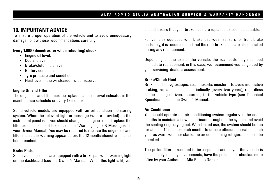## **10. IMPORTANT ADVICE**

To ensure proper operation of the vehicle and to avoid unnecessary damage, follow these recommendations carefully:

#### **Every 1,000 kilometres (or when refuelling) check:**

- Engine oil level.
- Coolant level.
- Brake/clutch fluid level.
- Battery condition.
- Tyre pressure and condition.
- Fluid level in the windscreen wiper reservoir.

#### **Engine Oil and Filter**

The engine oil and filter must be replaced at the interval indicated in the maintenance schedule or every 12 months.

Some vehicle models are equipped with an oil condition monitoring system. When the relevant light or message (where provided) on the instrument panel is lit, you should change the engine oil and replace the filter as soon as possible (see section "Warning Lights & Messages" in your Owner Manual). You may be required to replace the engine oil and filter should this warning appear before the 12 month/kilometre limit has been reached.

#### **Brake Pads**

Some vehicle models are equipped with a brake pad wear warning light on the dashboard (see the Owner's Manual). When this light is lit, you should ensure that your brake pads are replaced as soon as possible.

For vehicles equipped with brake pad wear sensors for front brake pads only, it is recommended that the rear brake pads are also checked during any replacement.

Depending on the use of the vehicle, the rear pads may not need immediate replacement: in this case, we recommend you be guided by your servicing dealer's assessment.

#### **Brake/Clutch Fluid**

Brake fluid is hygroscopic, i.e., it absorbs moisture. To avoid ineffective braking, replace the fluid periodically (every two years), regardless of the mileage driven, according to the vehicle type (see Technical Specifications) in the Owner's Manual.

#### **Air Conditioner**

You should operate the air conditioning system regularly in the cooler months to maintain a flow of lubricant throughout the system and avoid the sealing rings drying out. With limited use, the system should be run for at least 10 minutes each month. To ensure efficient operation, each year as warm weather starts, the air conditioning refrigerant should be checked.

The pollen filter is required to be inspected annually. If the vehicle is used mainly in dusty environments, have the pollen filter checked more often by your Authorised Alfa Romeo Dealer.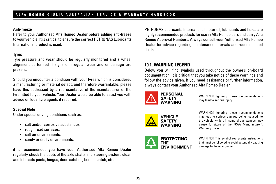#### **Anti-freeze**

Refer to your Authorised Alfa Romeo Dealer before adding anti-freeze to your vehicle. It is critical to ensure the correct PETRONAS Lubricants International product is used.

### **Tyres**

Tyre pressure and wear should be regularly monitored and a wheel alignment performed if signs of irregular wear and or damage are present.

Should you encounter a condition with your tyres which is considered a manufacturing or material defect, and therefore warrantable, please have this addressed by a representative of the manufacturer of the tyre fitted to your vehicle. Your Dealer would be able to assist you with advice on local tyre agents if required.

#### **Special Note**

Under special driving conditions such as:

- salt and/or corrosive substances,
- rough road surfaces,
- salt air environments,
- sandy or dusty environments,

it is recommended you have your Authorised Alfa Romeo Dealer regularly check the boots of the axle shafts and steering system, clean and lubricate joints, hinges, door-catches, bonnet catch, etc.

PETRONAS Lubricants International motor oil, lubricants and fluids are highly recommended products for use in Alfa Romeo cars and carry Alfa Romeo Approval Numbers. Always consult your Authorised Alfa Romeo Dealer for advice regarding maintenance intervals and recommended fluids.

### **10.1. WARNING LEGEND**

Below you will find symbols used throughout the owner's on-board documentation. It is critical that you take notice of these warnings and follow the advice given. If you need assistance or further information, always contact your Authorised Alfa Romeo Dealer.



WARNING! Ignoring these recommendations may lead to serious injury.





WARNING! Ignoring these recommendations may lead to serious damage being caused to the vehicle, which, in some circumstances, may cause forfeiture of the FCAA Manufacturer's Warranty cover.

WARNING! This symbol represents instructions that must be followed to avoid potentially causing damage to the environment.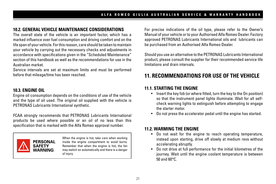### **10.2. GENERAL VEHICLE MAINTENANCE CONSIDERATIONS**

The overall state of the vehicle is an important factor, which has a marked influence over fuel consumption and driving comfort and on the life span of your vehicle. For this reason, care should be taken to maintain your vehicle by carrying out the necessary checks and adjustments in accordance with specifications given in the "Scheduled Maintenance" section of this handbook as well as the recommendations for use in the Australian market.

Service intervals are set at maximum limits and must be performed before that mileage/time has been reached.

#### **10.3. ENGINE OIL**

Engine oil consumption depends on the conditions of use of the vehicle and the type of oil used. The original oil supplied with the vehicle is PETRONAS Lubricants International synthetic.

FCAA strongly recommends that PETRONAS Lubricants International products be used where possible or an oil of no less than this specification that is marked with the Alfa Romeo approval number.



When the engine is hot, take care when working inside the engine compartment to avoid burns. Remember that when the engine is hot, the fan may switch on automatically and there is a danger of injury.

For precise indications of the oil type, please refer to the Owner's Manual of your vehicle or to your Authorised Alfa Romeo Dealer. Factory approved PETRONAS Lubricants International oils and lubricants can be purchased from an Authorised Alfa Romeo Dealer.

Should you use an alternative to the PETRONAS Lubricants International product, please consult the supplier for their recommended service life limitations and drain intervals.

## **11. RECOMMENDATIONS FOR USE OF THE VEHICLE**

#### **11.1. STARTING THE ENGINE**

- Insert the key fob (or where fitted, turn the key to the On position) so that the instrument panel lights illuminate. Wait for all selfcheck warning lights to extinguish before attempting to engage the starter motor.
- Do not press the accelerator pedal until the engine has started.

### **11.2. WARMING THE ENGINE**

- Do not wait for the engine to reach operating temperature, instead upon starting, drive off slowly at medium revs without accelerating abruptly.
- Do not drive at full performance for the initial kilometres of the journey. Wait until the engine coolant temperature is between 50 and 60°C.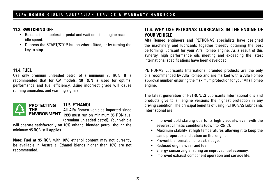#### **11.3. SWITCHING OFF**

- Release the accelerator pedal and wait until the engine reaches idle speed.
- Depress the START/STOP button where fitted, or by turning the key to stop.

#### **11.4. FUEL**

Use only premium unleaded petrol of a minimum 95 RON. It is recommended that for QV models, 98 RON is used for optimal performance and fuel efficiency. Using incorrect grade will cause running anomalies and warning signals.



### **11.5. ETHANOL**

All Alfa Romeo vehicles imported since **ENVIRONMENT** 1998 must run on minimum 95 RON fuel (premium unleaded petrol). Your vehicle

will operate satisfactorily on 10% ethanol blended petrol, though the minimum 95 RON still applies.

**Note:** Fuel at 95 RON with 10% ethanol content may not currently be available in Australia. Ethanol blends higher than 10% are not recommended.

### **11.6. WHY USE PETRONAS LUBRICANTS IN THE ENGINE OF YOUR VEHICLE**

Alfa Romeo engineers and PETRONAS specialists have designed the machinery and lubricants together thereby obtaining the best performing lubricant for your Alfa Romeo engine. As a result of this synergy, high performance oils meeting and exceeding the latest international specifications have been developed.

PETRONAS Lubricants International branded products are the only oils recommended by Alfa Romeo and are marked with a Alfa Romeo approval number, ensuring the maximum protection for your Alfa Romeo engine.

The latest generation of PETRONAS Lubricants International oils and products give to all engine versions the highest protection in any driving condition. The principal benefits of using PETRONAS Lubricants International are:

- Improved cold starting due to its high viscosity, even with the severest climatic conditions (down to -25°C).
- Maximum stability at high temperatures allowing it to keep the same properties and action on the engine.
- Prevent the formation of black sludge.
- Reduced engine wear and tear.
- Energy conserving ensuring an improved fuel economy.
- Improved exhaust component operation and service life.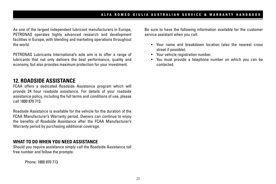As one of the largest independent lubricant manufacturers in Europe, PETRONAS operates highly advanced research and development facilities in Europe, with blending and marketing operations throughout the world.

PETRONAS Lubricants International's sole aim is to offer a range of lubricants that not only delivers the best performance, quality and economy, but also provides maximum protection for your investment.

## **12. ROADSIDE ASSISTANCE**

FCAA offers a dedicated Roadside Assistance program which will provide 24 hour roadside assistance. For details of your roadside assistance policy, including the full terms and conditions of use, please call 1800 870 713.

Roadside Assistance is available for the vehicle for the duration of the FCAA Manufacturer's Warranty period. Owners can continue to enjoy the benefits of Roadside Assistance after the FCAA Manufacturer's Warranty period by purchasing additional coverage.

#### **WHAT TO DO WHEN YOU NEED ASSISTANCE**

Should you require assistance simply call the Roadside Assistance toll free number and follow the prompts:

Phone: 1800 870 713

Be sure to have the following information available for the customer service assistant when you call:

- Your name and breakdown location (also the nearest cross street if possible).
- Your vehicle registration number.
- You must provide a telephone number on which you can be contacted.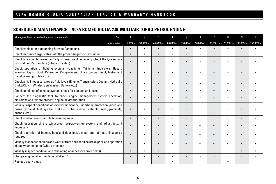### **SCHEDULED MAINTENANCE – ALFA ROMEO GIULIA 2.0L MULTIAIR TURBO PETROL ENGINE**

| Mileage or time passed (whichever comes first)                                                                                                                                              | Years: |           | $\overline{2}$ | 3              |           | 5         | 6        | 7         | 8         | 9         | 10        |
|---------------------------------------------------------------------------------------------------------------------------------------------------------------------------------------------|--------|-----------|----------------|----------------|-----------|-----------|----------|-----------|-----------|-----------|-----------|
| or Kilometres:                                                                                                                                                                              |        | 15,000km  | 30,000km       | 45,000km       | 60,000km  | 75,000km  | 90,000km | 105,000km | 120,000km | 135,000km | 150,000km |
| Check vehicle for outstanding Service Campaigns.                                                                                                                                            |        | $\bullet$ | ٠              | $\bullet$      | $\bullet$ |           | ٠        | $\bullet$ | ٠         | $\bullet$ | $\bullet$ |
| Check battery charge status with the proper diagnostic instrument.                                                                                                                          |        | $\bullet$ | ٠              | $\bullet$      | $\bullet$ | $\bullet$ | ٠        | $\bullet$ | $\bullet$ | $\bullet$ | $\bullet$ |
| Check tyre condition/wear and adjust pressure, if necessary. Check the tyre service<br>kit conditions/expiry date (where provided).                                                         |        | $\bullet$ |                | $\bullet$      | $\bullet$ |           |          | $\bullet$ | ٠         |           |           |
| Check operation of lighting system (Headlights, Taillights, Indicators, Hazard<br>Warning Lights, Boot, Passenger Compartment, Glove Compartment, Instrument<br>Panel Warning Lights etc.). |        |           |                |                |           |           |          |           |           |           |           |
| Check and, if necessary, top up fluid levels (Engine, Transmission, Coolant, Hydraulic<br>Brake/Clutch, Windscreen Washer, Battery etc.).                                                   |        |           | ٠              | $\bullet$      | ٠         |           |          |           |           |           |           |
| Check condition of exhaust system, check for damage and leaks.                                                                                                                              |        | $\bullet$ | ٠              | $\bullet$      | $\bullet$ | $\bullet$ | ٠        | $\bullet$ | $\bullet$ | $\bullet$ | $\bullet$ |
| Connect the diagnostic tool, to check engine management system operation,<br>emissions and, where present, engine oil deterioration.                                                        |        |           |                | $\bullet$      | $\bullet$ |           |          | $\bullet$ |           |           |           |
| Visually inspect conditions of: exterior bodywork, underbody protection, pipes and<br>hoses (exhaust, fuel system, brakes), rubber elements (boots, seals/grommets,<br>bushes, etc.).       |        | $\bullet$ |                | $\bullet$      | $\bullet$ |           |          | $\bullet$ |           |           |           |
| Check windscreen wiper blade position/wear.                                                                                                                                                 |        | $\bullet$ | $\bullet$      | $\bullet$      | $\bullet$ | $\bullet$ | ٠        | $\bullet$ | $\bullet$ | $\bullet$ | $\bullet$ |
| Check operation of the windscreen wiper/washer system and adjust jets, if<br>necessary.                                                                                                     |        |           |                | $\bullet$      | $\bullet$ |           |          | $\bullet$ |           | $\bullet$ | $\bullet$ |
| Check operation of bonnet, boot and door locks, clean and lubricate linkage as<br>required.                                                                                                 |        | $\bullet$ |                |                | ٠         |           |          |           |           |           |           |
| Visually inspect conditions and wear of front and rear disc brake pads and operation<br>of pad wear indicator (where present).                                                              |        | $\bullet$ |                | $\blacksquare$ | ٠         |           |          | $\bullet$ |           | ٠         |           |
| Visually inspect condition and tensioning of accessory drive belt(s).                                                                                                                       |        | $\bullet$ | ٠              | $\bullet$      |           | ٠         | ٠        | $\bullet$ |           | $\bullet$ | $\bullet$ |
| Change engine oil and replace oil filter. (1)                                                                                                                                               |        | $\bullet$ | ٠              | ٠              |           |           | ٠        | $\bullet$ | ٠         | $\bullet$ | ٠         |
| Replace spark plugs.                                                                                                                                                                        |        |           |                |                | $\bullet$ |           |          |           |           |           |           |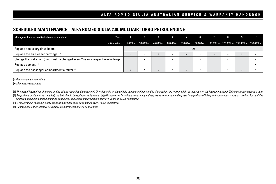#### **SCHEDULED MAINTENANCE – ALFA ROMEO GIULIA 2.0L MULTIAIR TURBO PETROL ENGINE**

| Mileage or time passed (whichever comes first)                                        | Years:                                                                                                       | $\overline{2}$ | 3 4 5   |         | 6 |         | -8      |         | 10 |
|---------------------------------------------------------------------------------------|--------------------------------------------------------------------------------------------------------------|----------------|---------|---------|---|---------|---------|---------|----|
|                                                                                       | or Kilometres: 15,000km 30,000km 45,000km 60,000km 75,000km 90,000km 105,000km 120,000km 135,000km 150,000km |                |         |         |   |         |         |         |    |
| Replace accessory drive belt(s).                                                      |                                                                                                              |                |         |         |   |         |         |         |    |
| Replace the air cleaner cartridge. (3)                                                |                                                                                                              |                |         |         |   | $\circ$ | $\circ$ |         |    |
| Change the brake fluid (fluid must be changed every 2 years irrespective of mileage). |                                                                                                              |                |         |         |   |         |         |         |    |
| Replace coolant. (4)                                                                  |                                                                                                              |                |         |         |   |         |         |         |    |
| Replace the passenger compartment air filter. <sup>(3)</sup>                          |                                                                                                              |                | $\circ$ | $\circ$ |   | $\circ$ |         | $\circ$ |    |

( ) *Recommended operations.*

(•) *Mandatory operations.*

(1) The actual interval for changing engine oil and replacing the engine oil filter depends on the vehicle usage conditions and is signalled by the warning light or message on the instrument panel. This must never exceed 1

(2) Regardless of kilometres travelled, the belt should be replaced at 2 years or 30,000 kilometres for vehicles operating in dusty areas and/or demanding use, long periods of idling and continuous stop-start driving. For *operated outside the aforementioned conditions, belt replacement should occur at 4 years or 60,000 kilometres.*

(3) *If there vehicle is used in dusty areas, the air filter must be replaced every 15,000 kilometres.*

(4) *Replace coolant at 10 years or 150,000 kilometres, whichever occurs first.*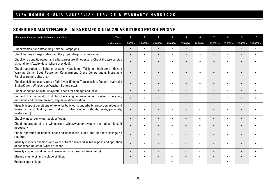### **SCHEDULED MAINTENANCE – ALFA ROMEO GIULIA 2.9L V6 BITURBO PETROL ENGINE**

| Mileage or time passed (whichever comes first)<br>Years:                                                                                                                                    |           | $\overline{2}$ | 3         |           | 5         | հ         | $\overline{1}$ | 8         | g         | 10        |
|---------------------------------------------------------------------------------------------------------------------------------------------------------------------------------------------|-----------|----------------|-----------|-----------|-----------|-----------|----------------|-----------|-----------|-----------|
| or Kilometres:                                                                                                                                                                              | 15,000km  | 30,000km       | 45,000km  | 60,000km  | 75,000km  | 90,000km  | 105,000km      | 120,000km | 135,000km | 150,000km |
| Check vehicle for outstanding Service Campaigns.                                                                                                                                            | $\bullet$ | $\bullet$      | $\bullet$ | $\bullet$ |           | ٠         | $\bullet$      | $\bullet$ | $\bullet$ |           |
| Check battery charge status with the proper diagnostic instrument.                                                                                                                          | $\bullet$ | ٠              | $\bullet$ | $\bullet$ | $\bullet$ | ٠         | $\bullet$      | $\bullet$ | $\bullet$ | $\bullet$ |
| Check tyre condition/wear and adjust pressure, if necessary. Check the tyre service<br>kit conditions/expiry date (where provided).                                                         |           |                | ٠         |           |           |           | $\bullet$      | ٠         |           |           |
| Check operation of lighting system (Headlights, Taillights, Indicators, Hazard<br>Warning Lights, Boot, Passenger Compartment, Glove Compartment, Instrument<br>Panel Warning Lights etc.). |           |                |           |           |           |           |                |           |           |           |
| Check and, if necessary, top up fluid levels (Engine, Transmission, Coolant, Hydraulic<br>Brake/Clutch, Windscreen Washer, Battery etc.).                                                   | $\bullet$ |                | ٠         |           |           |           |                |           |           |           |
| Check condition of exhaust system, check for damage and leaks.                                                                                                                              | $\bullet$ | $\bullet$      | $\bullet$ | $\bullet$ | $\bullet$ | ٠         | $\bullet$      | $\bullet$ | $\bullet$ | $\bullet$ |
| Connect the diagnostic tool, to check engine management system operation,<br>emissions and, where present, engine oil deterioration.                                                        | $\bullet$ | ٠              | ٠         | ٠         |           | ٠         | $\bullet$      | ٠         |           | ٠         |
| Visually inspect conditions of: exterior bodywork, underbody protection, pipes and<br>hoses (exhaust, fuel system, brakes), rubber elements (boots, seals/grommets,<br>bushes, etc.).       |           |                | ٠         | ٠         |           |           |                |           |           |           |
| Check windscreen wiper position/wear.                                                                                                                                                       | $\bullet$ | ٠              | $\bullet$ | $\bullet$ |           | $\bullet$ | $\bullet$      | ٠         | $\bullet$ | ٠         |
| Check operation of the windscreen wiper/washer system and adjust jets, if<br>necessary.                                                                                                     |           |                | $\bullet$ | ٠         |           | ٠         | $\bullet$      | ٠         | $\bullet$ |           |
| Check operation of bonnet, boot and door locks, clean and lubricate linkage as<br>required.                                                                                                 | $\bullet$ |                |           |           |           |           |                |           |           |           |
| Visually inspect conditions and wear of front and rear disc brake pads and operation<br>of pad wear indicator (where present).                                                              | $\bullet$ |                | $\bullet$ | $\bullet$ |           | ٠         | $\bullet$      |           |           |           |
| Visually inspect condition and tensioning of accessory drive belt(s).                                                                                                                       | $\bullet$ | ٠              | $\bullet$ |           | ٠         | $\bullet$ | $\bullet$      |           | $\bullet$ | $\bullet$ |
| Change engine oil and replace oil filter.                                                                                                                                                   | $\bullet$ | ٠              | $\bullet$ | ٠         | ٠         | $\bullet$ | $\bullet$      | $\bullet$ | $\bullet$ | $\bullet$ |
| Replace spark plugs.                                                                                                                                                                        |           |                |           | ٠         |           |           |                |           |           |           |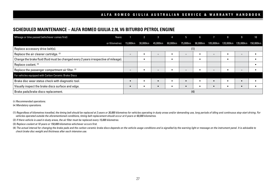#### **SCHEDULED MAINTENANCE – ALFA ROMEO GIULIA 2.9L V6 BITURBO PETROL ENGINE**

| Mileage or time passed (whichever comes first)<br>Years:                              |          |          |           |          |          |          |           | -8                            |         |  |
|---------------------------------------------------------------------------------------|----------|----------|-----------|----------|----------|----------|-----------|-------------------------------|---------|--|
| or Kilometres:                                                                        | 15,000km | 30,000km | 45,000km  | 60,000km | 75,000km | 90,000km | 105,000km | 120,000km 135,000km 150,000km |         |  |
| Replace accessory drive belt(s).                                                      |          |          |           |          | (1)      |          |           |                               |         |  |
| Replace the air cleaner cartridge. (2)                                                | $\circ$  |          | $\circ$   |          |          |          | $\circ$   |                               | $\circ$ |  |
| Change the brake fluid (fluid must be changed every 2 years irrespective of mileage). |          |          |           |          |          |          |           |                               |         |  |
| Replace coolant. (3)                                                                  |          |          |           |          |          |          |           |                               |         |  |
| Replace the passenger compartment air filter. (2)                                     | $\circ$  |          | $\circ$   |          | $\circ$  |          | $\circ$   |                               | $\circ$ |  |
| For vehicles equipped with Carbon Ceramic Brake Discs                                 |          |          |           |          |          |          |           |                               |         |  |
| Brake disc wear status check with diagnostic tool.                                    |          |          | $\bullet$ |          |          | ٠        |           | $\bullet$                     | ٠       |  |
| Visually inspect the brake discs surface and edge.                                    |          |          |           |          |          |          |           |                               |         |  |
| Brake pads/brake discs replacement.                                                   |          |          |           |          | (4)      |          |           |                               |         |  |

( ) *Recommended operations.*

(•) *Mandatory operations.*

(1) Regardless of kilometres travelled, the timing belt should be replaced at 2 years or 30,000 kilometres for vehicles operating in dusty areas and/or demanding use, long periods of idling and continuous stop-start drivin *vehicles operated outside the aforementioned conditions, timing belt replacement should occur at 4 years or 60,000 kilometres.*

(2) *If there vehicle is used in dusty areas, the air filter must be replaced every 15,000 kilometres.*

(3) *Replace coolant at 10 years or 150,000 kilometres whichever occurs first.*

(4) The actual interval for changing the brake pads and the carbon ceramic brake discs depends on the vehicle usage conditions and is signalled by the warning light or message on the instrument panel. It is advisable to *check brake disc weight and thickness after each intensive use.*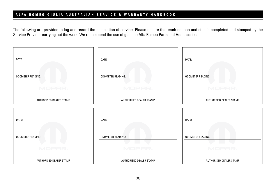The following are provided to log and record the completion of service. Please ensure that each coupon and stub is completed and stamped by the Service Provider carrying out the work. We recommend the use of genuine Alfa Romeo Parts and Accessories.

| DATE:                                                 | DATE:                              | DATE:                                    |
|-------------------------------------------------------|------------------------------------|------------------------------------------|
| <b>ODOMETER READING:</b><br><b>Contract</b><br>MOPAR, | <b>ODOMETER READING:</b><br>MOPAR, | <b>ODOMETER READING:</b><br>57<br>MOPAR, |
| AUTHORISED DEALER STAMP                               | AUTHORISED DEALER STAMP            | AUTHORISED DEALER STAMP                  |
| DATE:                                                 | DATE:                              | DATE:                                    |
| <b>ODOMETER READING:</b><br>MOPAR,                    | <b>ODOMETER READING:</b><br>MOPAR, | <b>ODOMETER READING:</b><br>MOPAR,       |
| AUTHORISED DEALER STAMP                               | AUTHORISED DEALER STAMP            | AUTHORISED DEALER STAMP                  |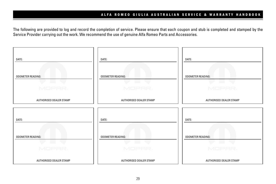The following are provided to log and record the completion of service. Please ensure that each coupon and stub is completed and stamped by the Service Provider carrying out the work. We recommend the use of genuine Alfa Romeo Parts and Accessories.

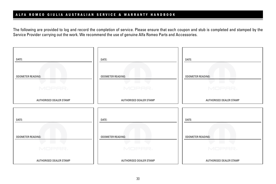The following are provided to log and record the completion of service. Please ensure that each coupon and stub is completed and stamped by the Service Provider carrying out the work. We recommend the use of genuine Alfa Romeo Parts and Accessories.

| DATE:                                                 | DATE:                              | DATE:                                    |
|-------------------------------------------------------|------------------------------------|------------------------------------------|
| <b>ODOMETER READING:</b><br><b>Contract</b><br>MOPAR, | <b>ODOMETER READING:</b><br>MOPAR, | <b>ODOMETER READING:</b><br>57<br>MOPAR, |
| AUTHORISED DEALER STAMP                               | AUTHORISED DEALER STAMP            | AUTHORISED DEALER STAMP                  |
| DATE:                                                 | DATE:                              | DATE:                                    |
| <b>ODOMETER READING:</b><br>MOPAR,                    | <b>ODOMETER READING:</b><br>MOPAR, | <b>ODOMETER READING:</b><br>MOPAR,       |
| AUTHORISED DEALER STAMP                               | AUTHORISED DEALER STAMP            | AUTHORISED DEALER STAMP                  |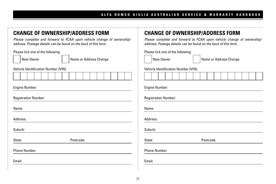| <b>CHANGE OF OWNERSHIP/ADDRESS FORM</b><br>Please complete and forward to FCAA upon vehicle change of ownership/<br>address. Postage details can be found on the back of this form. | <b>CHANGE OF OWNERSHIP/ADDRESS FORM</b><br>Please complete and forward to FCAA upon vehicle change of ownership,<br>address. Postage details can be found on the back of this form. |  |  |  |  |  |  |  |
|-------------------------------------------------------------------------------------------------------------------------------------------------------------------------------------|-------------------------------------------------------------------------------------------------------------------------------------------------------------------------------------|--|--|--|--|--|--|--|
| Please tick one of the following:<br>New Owner<br>Name or Address Change<br>Vehicle Identification Number (VIN):                                                                    | Please tick one of the following:<br>New Owner<br>Name or Address Change<br>Vehicle Identification Number (VIN):                                                                    |  |  |  |  |  |  |  |
|                                                                                                                                                                                     |                                                                                                                                                                                     |  |  |  |  |  |  |  |
| <b>Engine Number:</b><br><b>Registration Number:</b>                                                                                                                                | Engine Number:<br><b>Registration Number:</b>                                                                                                                                       |  |  |  |  |  |  |  |
| Name:                                                                                                                                                                               | Name:                                                                                                                                                                               |  |  |  |  |  |  |  |
| Address:                                                                                                                                                                            | Address:                                                                                                                                                                            |  |  |  |  |  |  |  |
| Suburb:                                                                                                                                                                             | Suburb:                                                                                                                                                                             |  |  |  |  |  |  |  |
| Postcode:<br>State:                                                                                                                                                                 | Postcode:<br>State:                                                                                                                                                                 |  |  |  |  |  |  |  |
| <b>Phone Number:</b>                                                                                                                                                                | <b>Phone Number:</b>                                                                                                                                                                |  |  |  |  |  |  |  |
| Email:                                                                                                                                                                              | Email:                                                                                                                                                                              |  |  |  |  |  |  |  |
|                                                                                                                                                                                     |                                                                                                                                                                                     |  |  |  |  |  |  |  |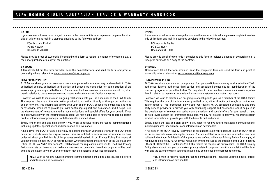#### **BY POST**

If your name or address has changed or you are the owner of this vehicle please complete the other side of this form and mail in a stamped envelope to the following address:

FCA Australia Pty Ltd PO BOX 23267 Docklands VIC 3008

Please provide proof of ownership if completing this form to register a change of ownership e.g., a receipt of purchase or a copy of the contract.

#### **BY EMAIL**

Alternatively, fill out the form provided, scan the completed form and send the form and proof of ownership where relevant to: aucustomercare@fcagroup.com

#### **FCAA PRIVACY POLICY**

At FCAA, we share your concern over privacy. Your personal information may be shared within FCAA, authorised dealers, authorised third parties and associated companies for administration of the warranty program, as permitted by law. You may elect to have no other communication with us, other than in relation to these warranty related issues and customer satisfaction measures.

However, we wish to maintain an on-going relationship with you, as a member of the FCAA family. This requires the use of the information provided to us, either directly or through our authorised dealer network. This information allows both your dealer, FCAA, associated companies and third party service providers to provide you with continuing support and assistance, and it helps us in the development of relevant marketing communications and special offers for your benefit. If you do not provide us with the information requested, we may not be able to notify you regarding certain product information or provide you with the benefits outlined above.

Simply check the box and sign below if you wish to receive future marketing communications, including updates, special offers and information on new models.

A full copy of the FCAA Privacy Policy may be obtained through your dealer, through an FCAA office or on our website www.fiatchrysler.com.au. You are entitled to access any information we have collected about you. Full details of this process are defined within our Privacy Policy. Put simply, all you have to do is notify FCAA of your request in writing marked to the attention of the Chief Security Officer at PO Box 23267, Docklands VIC 3008 or make the request via our website. The FCAA Privacy Policy also sets out how you can make a privacy related complaint, how that complaint will be dealt with and the extent to which your information may be disclosed to overseas recipients.

**YES,** I wish to receive future marketing communications, including updates, special offers and information on new models.

#### **BY POST**

If your name or address has changed or you are the owner of this vehicle please complete the other side of this form and mail in a stamped envelope to the following address:

FCA Australia Pty Ltd PO BOX 23267 Docklands VIC 3008

Please provide proof of ownership if completing this form to register a change of ownership e.g., a receipt of purchase or a copy of the contract.

#### **BY EMAIL**

Alternatively, fill out the form provided, scan the completed form and send the form and proof of ownership where relevant to: aucustomercare@fcagroup.com

#### **FCAA PRIVACY POLICY**

At FCAA, we share your concern over privacy. Your personal information may be shared within FCAA, authorised dealers, authorised third parties and associated companies for administration of the warranty program, as permitted by law. You may elect to have no other communication with us, other than in relation to these warranty related issues and customer satisfaction measures.

However, we wish to maintain an on-going relationship with you, as a member of the FCAA family. This requires the use of the information provided to us, either directly or through our authorised dealer network. This information allows both your dealer, FCAA, associated companies and third party service providers to provide you with continuing support and assistance, and it helps us in the development of relevant marketing communications and special offers for your benefit. If you do not provide us with the information requested, we may not be able to notify you regarding certain product information or provide you with the benefits outlined above.

Simply check the box and sign below if you wish to receive future marketing communications, including updates, special offers and information on new models.

A full copy of the FCAA Privacy Policy may be obtained through your dealer, through an FCAA office or on our website www.fiatchrysler.com.au. You are entitled to access any information we have collected about you. Full details of this process are defined within our Privacy Policy. Put simply, all you have to do is notify FCAA of your request in writing marked to the attention of the Chief Security Officer at PO Box 23267, Docklands VIC 3008 or make the request via our website. The FCAA Privacy Policy also sets out how you can make a privacy related complaint, how that complaint will be dealt with and the extent to which your information may be disclosed to overseas recipients.

**YES,** I wish to receive future marketing communications, including updates, special offers and information on new models.

32

SIGNED BY: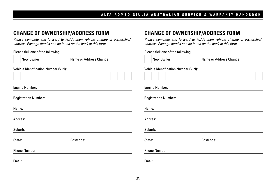| <b>CHANGE OF OWNERSHIP/ADDRESS FORM</b><br>Please complete and forward to FCAA upon vehicle change of ownership/<br>address. Postage details can be found on the back of this form. | <b>CHANGE OF OWNERSHIP/ADDRESS FORM</b><br>Please complete and forward to FCAA upon vehicle change of ownership,<br>address. Postage details can be found on the back of this form. |
|-------------------------------------------------------------------------------------------------------------------------------------------------------------------------------------|-------------------------------------------------------------------------------------------------------------------------------------------------------------------------------------|
| Please tick one of the following:<br>New Owner<br>Name or Address Change<br>Vehicle Identification Number (VIN):                                                                    | Please tick one of the following:<br>New Owner<br>Name or Address Change<br>Vehicle Identification Number (VIN):                                                                    |
|                                                                                                                                                                                     |                                                                                                                                                                                     |
| <b>Engine Number:</b>                                                                                                                                                               | <b>Engine Number:</b>                                                                                                                                                               |
| <b>Registration Number:</b>                                                                                                                                                         | <b>Registration Number:</b>                                                                                                                                                         |
| Name:                                                                                                                                                                               | Name:                                                                                                                                                                               |
| Address:                                                                                                                                                                            | Address:                                                                                                                                                                            |
| Suburb:                                                                                                                                                                             | Suburb:                                                                                                                                                                             |
| State:<br>Postcode:                                                                                                                                                                 | State:<br>Postcode:                                                                                                                                                                 |
| <b>Phone Number:</b>                                                                                                                                                                | <b>Phone Number:</b>                                                                                                                                                                |
| Email:                                                                                                                                                                              | Email:                                                                                                                                                                              |
|                                                                                                                                                                                     |                                                                                                                                                                                     |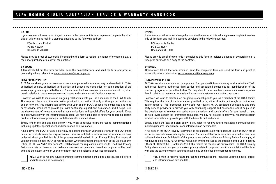#### **BY POST**

If your name or address has changed or you are the owner of this vehicle please complete the other side of this form and mail in a stamped envelope to the following address:

FCA Australia Pty Ltd PO BOX 23267 Docklands VIC 3008

Please provide proof of ownership if completing this form to register a change of ownership e.g., a receipt of purchase or a copy of the contract.

#### **BY EMAIL**

Alternatively, fill out the form provided, scan the completed form and send the form and proof of ownership where relevant to: aucustomercare@fcagroup.com

#### **FCAA PRIVACY POLICY**

At FCAA, we share your concern over privacy. Your personal information may be shared within FCAA, authorised dealers, authorised third parties and associated companies for administration of the warranty program, as permitted by law. You may elect to have no other communication with us, other than in relation to these warranty related issues and customer satisfaction measures.

However, we wish to maintain an on-going relationship with you, as a member of the FCAA family. This requires the use of the information provided to us, either directly or through our authorised dealer network. This information allows both your dealer, FCAA, associated companies and third party service providers to provide you with continuing support and assistance, and it helps us in the development of relevant marketing communications and special offers for your benefit. If you do not provide us with the information requested, we may not be able to notify you regarding certain product information or provide you with the benefits outlined above.

Simply check the box and sign below if you wish to receive future marketing communications, including updates, special offers and information on new models.

A full copy of the FCAA Privacy Policy may be obtained through your dealer, through an FCAA office or on our website www.fiatchrysler.com.au. You are entitled to access any information we have collected about you. Full details of this process are defined within our Privacy Policy. Put simply, all you have to do is notify FCAA of your request in writing marked to the attention of the Chief Security Officer at PO Box 23267, Docklands VIC 3008 or make the request via our website. The FCAA Privacy Policy also sets out how you can make a privacy related complaint, how that complaint will be dealt with and the extent to which your information may be disclosed to overseas recipients.

**YES,** I wish to receive future marketing communications, including updates, special offers and information on new models.

#### **BY POST**

If your name or address has changed or you are the owner of this vehicle please complete the other side of this form and mail in a stamped envelope to the following address:

FCA Australia Pty Ltd PO BOX 23267 Docklands VIC 3008

Please provide proof of ownership if completing this form to register a change of ownership e.g., a receipt of purchase or a copy of the contract.

#### **BY EMAIL**

Alternatively, fill out the form provided, scan the completed form and send the form and proof of ownership where relevant to: aucustomercare@fcagroup.com

#### **FCAA PRIVACY POLICY**

At FCAA, we share your concern over privacy. Your personal information may be shared within FCAA, authorised dealers, authorised third parties and associated companies for administration of the warranty program, as permitted by law. You may elect to have no other communication with us, other than in relation to these warranty related issues and customer satisfaction measures.

However, we wish to maintain an on-going relationship with you, as a member of the FCAA family. This requires the use of the information provided to us, either directly or through our authorised dealer network. This information allows both your dealer, FCAA, associated companies and third party service providers to provide you with continuing support and assistance, and it helps us in the development of relevant marketing communications and special offers for your benefit. If you do not provide us with the information requested, we may not be able to notify you regarding certain product information or provide you with the benefits outlined above.

Simply check the box and sign below if you wish to receive future marketing communications, including updates, special offers and information on new models.

A full copy of the FCAA Privacy Policy may be obtained through your dealer, through an FCAA office or on our website www.fiatchrysler.com.au. You are entitled to access any information we have collected about you. Full details of this process are defined within our Privacy Policy. Put simply, all you have to do is notify FCAA of your request in writing marked to the attention of the Chief Security Officer at PO Box 23267, Docklands VIC 3008 or make the request via our website. The FCAA Privacy Policy also sets out how you can make a privacy related complaint, how that complaint will be dealt with and the extent to which your information may be disclosed to overseas recipients.

**YES,** I wish to receive future marketing communications, including updates, special offers and information on new models.

SIGNED BY:

SIGNED BY: